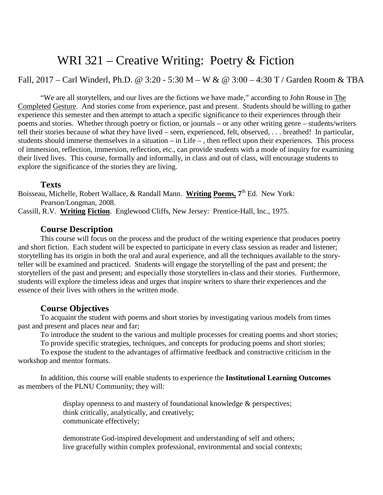# WRI 321 – Creative Writing: Poetry & Fiction

Fall, 2017 – Carl Winderl, Ph.D. @ 3:20 - 5:30 M – W & @ 3:00 – 4:30 T / Garden Room & TBA

"We are all storytellers, and our lives are the fictions we have made," according to John Rouse in The Completed Gesture. And stories come from experience, past and present. Students should be willing to gather experience this semester and then attempt to attach a specific significance to their experiences through their poems and stories. Whether through poetry or fiction, or journals – or any other writing genre – students/writers tell their stories because of what they have lived – seen, experienced, felt, observed, . . . breathed! In particular, students should immerse themselves in a situation – in Life – , then reflect upon their experiences. This process of immersion, reflection, immersion, reflection, etc., can provide students with a mode of inquiry for examining their lived lives. This course, formally and informally, in class and out of class, will encourage students to explore the significance of the stories they are living.

#### **Texts**

Boisseau, Michelle, Robert Wallace, & Randall Mann. **Writing Poems, 7**th Ed. New York: Pearson/Longman, 2008. Cassill, R.V. **Writing Fiction**. Englewood Cliffs, New Jersey: Prentice-Hall, Inc., 1975.

## **Course Description**

This course will focus on the process and the product of the writing experience that produces poetry and short fiction. Each student will be expected to participate in every class session as reader and listener; storytelling has its origin in both the oral and aural experience, and all the techniques available to the storyteller will be examined and practiced. Students will engage the storytelling of the past and present; the storytellers of the past and present; and especially those storytellers in-class and their stories. Furthermore, students will explore the timeless ideas and urges that inspire writers to share their experiences and the essence of their lives with others in the written mode.

# **Course Objectives**

To acquaint the student with poems and short stories by investigating various models from times past and present and places near and far;

To introduce the student to the various and multiple processes for creating poems and short stories;

To provide specific strategies, techniques, and concepts for producing poems and short stories;

To expose the student to the advantages of affirmative feedback and constructive criticism in the workshop and mentor formats.

In addition, this course will enable students to experience the **Institutional Learning Outcomes** as members of the PLNU Community; they will:

> display openness to and mastery of foundational knowledge & perspectives; think critically, analytically, and creatively; communicate effectively;

demonstrate God-inspired development and understanding of self and others; live gracefully within complex professional, environmental and social contexts;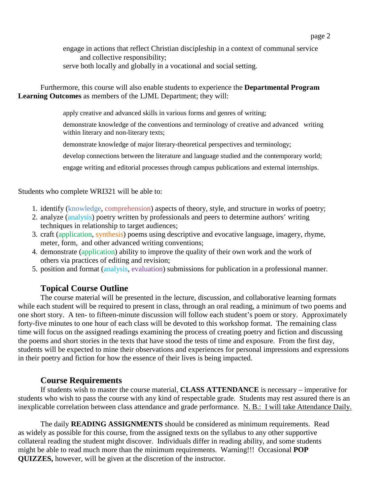engage in actions that reflect Christian discipleship in a context of communal service and collective responsibility; serve both locally and globally in a vocational and social setting.

Furthermore, this course will also enable students to experience the **Departmental Program Learning Outcomes** as members of the LJML Department; they will:

apply creative and advanced skills in various forms and genres of writing;

demonstrate knowledge of the conventions and terminology of creative and advanced writing within literary and non-literary texts;

demonstrate knowledge of major literary-theoretical perspectives and terminology;

develop connections between the literature and language studied and the contemporary world;

engage writing and editorial processes through campus publications and external internships.

Students who complete WRI321 will be able to:

- 1. identify (knowledge, comprehension) aspects of theory, style, and structure in works of poetry;
- 2. analyze (analysis) poetry written by professionals and peers to determine authors' writing techniques in relationship to target audiences;
- 3. craft (application, synthesis) poems using descriptive and evocative language, imagery, rhyme, meter, form, and other advanced writing conventions;
- 4. demonstrate (application) ability to improve the quality of their own work and the work of others via practices of editing and revision;
- 5. position and format (analysis, evaluation) submissions for publication in a professional manner.

### **Topical Course Outline**

The course material will be presented in the lecture, discussion, and collaborative learning formats while each student will be required to present in class, through an oral reading, a minimum of two poems and one short story. A ten- to fifteen-minute discussion will follow each student's poem or story. Approximately forty-five minutes to one hour of each class will be devoted to this workshop format. The remaining class time will focus on the assigned readings examining the process of creating poetry and fiction and discussing the poems and short stories in the texts that have stood the tests of time and exposure. From the first day, students will be expected to mine their observations and experiences for personal impressions and expressions in their poetry and fiction for how the essence of their lives is being impacted.

### **Course Requirements**

If students wish to master the course material, **CLASS ATTENDANCE** is necessary – imperative for students who wish to pass the course with any kind of respectable grade. Students may rest assured there is an inexplicable correlation between class attendance and grade performance. N. B.: I will take Attendance Daily.

The daily **READING ASSIGNMENTS** should be considered as minimum requirements. Read as widely as possible for this course, from the assigned texts on the syllabus to any other supportive collateral reading the student might discover. Individuals differ in reading ability, and some students might be able to read much more than the minimum requirements. Warning!!! Occasional **POP QUIZZES,** however, will be given at the discretion of the instructor.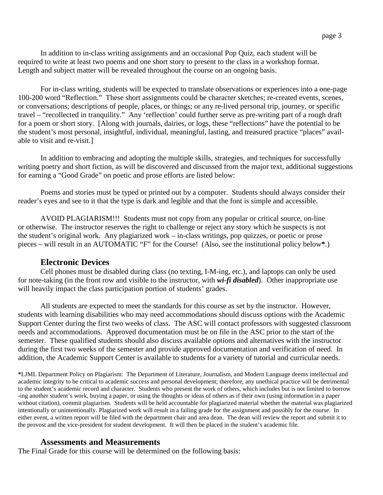In addition to in-class writing assignments and an occasional Pop Quiz, each student will be required to write at least two poems and one short story to present to the class in a workshop format. Length and subject matter will be revealed throughout the course on an ongoing basis.

For in-class writing, students will be expected to translate observations or experiences into a one-page 100-200 word "Reflection." These short assignments could be character sketches; re-created events, scenes, or conversations; descriptions of people, places, or things; or any re-lived personal trip, journey, or specific travel – "recollected in tranquility." Any 'reflection' could further serve as pre-writing part of a rough draft for a poem or short story. [Along with journals, dairies, or logs, these "reflections" have the potential to be the student's most personal, insightful, individual, meaningful, lasting, and treasured practice "places" available to visit and re-visit.]

In addition to embracing and adopting the multiple skills, strategies, and techniques for successfully writing poetry and short fiction, as will be discovered and discussed from the major text, additional suggestions for earning a "Good Grade" on poetic and prose efforts are listed below:

Poems and stories must be typed or printed out by a computer. Students should always consider their reader's eyes and see to it that the type is dark and legible and that the font is simple and accessible.

AVOID PLAGIARISM!!! Students must not copy from any popular or critical source, on-line or otherwise. The instructor reserves the right to challenge or reject any story which he suspects is not the student's original work. Any plagiarized work – in-class writings, pop quizzes, or poetic or prose pieces – will result in an AUTOMATIC "F" for the Course! (Also, see the institutional policy below**\***.)

#### **Electronic Devices**

Cell phones must be disabled during class (no texting, I-M-ing, etc.), and laptops can only be used for note-taking (in the front row and visible to the instructor, with *wi-fi disabled*). Other inappropriate use will heavily impact the class participation portion of students' grades.

All students are expected to meet the standards for this course as set by the instructor. However, students with learning disabilities who may need accommodations should discuss options with the Academic Support Center during the first two weeks of class. The ASC will contact professors with suggested classroom needs and accommodations. Approved documentation must be on file in the ASC prior to the start of the semester. These qualified students should also discuss available options and alternatives with the instructor during the first two weeks of the semester and provide approved documentation and verification of need. In addition, the Academic Support Center is available to students for a variety of tutorial and curricular needs.

**\***LJML Department Policy on Plagiarism: The Department of Literature, Journalism, and Modern Language deems intellectual and academic integrity to be critical to academic success and personal development; therefore, any unethical practice will be detrimental to the student's academic record and character. Students who present the work of others, which includes but is not limited to borrow -ing another student's work, buying a paper, or using the thoughts or ideas of others as if their own (using information in a paper without citation), commit plagiarism. Students will be held accountable for plagiarized material whether the material was plagiarized intentionally or unintentionally. Plagiarized work will result in a failing grade for the assignment and possibly for the course. In either event, a written report will be filed with the department chair and area dean. The dean will review the report and submit it to the provost and the vice-president for student development. It will then be placed in the student's academic file.

#### **Assessments and Measurements**

The Final Grade for this course will be determined on the following basis: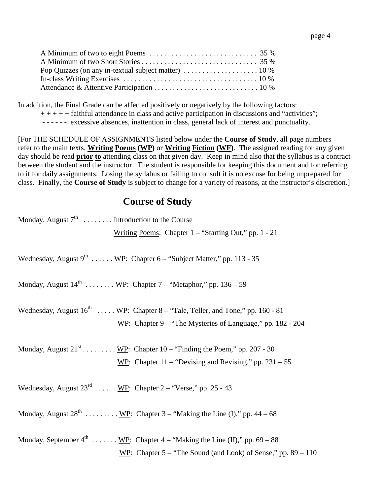In addition, the Final Grade can be affected positively or negatively by the following factors:  $++++$  faithful attendance in class and active participation in discussions and "activities";

- - - - - - excessive absences, inattention in class, general lack of interest and punctuality.

[For THE SCHEDULE OF ASSIGNMENTS listed below under the **Course of Study**, all page numbers refer to the main texts, **Writing Poems (WP)** or **Writing Fiction (WF)**. The assigned reading for any given day should be read **prior to** attending class on that given day. Keep in mind also that the syllabus is a contract between the student and the instructor. The student is responsible for keeping this document and for referring to it for daily assignments. Losing the syllabus or failing to consult it is no excuse for being unprepared for class. Finally, the **Course of Study** is subject to change for a variety of reasons, at the instructor's discretion.]

# **Course of Study**

| Monday, August $7^{\text{th}}$ Introduction to the Course                                                                                                          |
|--------------------------------------------------------------------------------------------------------------------------------------------------------------------|
| Writing Poems: Chapter $1 -$ "Starting Out," pp. 1 - 21                                                                                                            |
| Wednesday, August $9^{th}$ WP: Chapter 6 – "Subject Matter," pp. 113 - 35                                                                                          |
| Monday, August $14^{\text{th}}$ <u>WP</u> : Chapter 7 – "Metaphor," pp. 136 – 59                                                                                   |
| Wednesday, August $16^{th}$ WP: Chapter 8 – "Tale, Teller, and Tone," pp. 160 - 81<br>WP: Chapter $9 -$ "The Mysteries of Language," pp. 182 - 204                 |
| Monday, August $21^{st}$ WP: Chapter 10 – "Finding the Poem," pp. 207 - 30<br>WP: Chapter $11 -$ "Devising and Revising," pp. 231 – 55                             |
| Wednesday, August $23^{\text{rd}}$ WP: Chapter 2 – "Verse," pp. 25 - 43                                                                                            |
| Monday, August $28^{th}$ WP: Chapter 3 – "Making the Line (I)," pp. 44 – 68                                                                                        |
| Monday, September $4^{\text{th}}$ <u>WP</u> : Chapter $4 -$ "Making the Line (II)," pp. 69 – 88<br>WP: Chapter $5 -$ "The Sound (and Look) of Sense," pp. 89 – 110 |